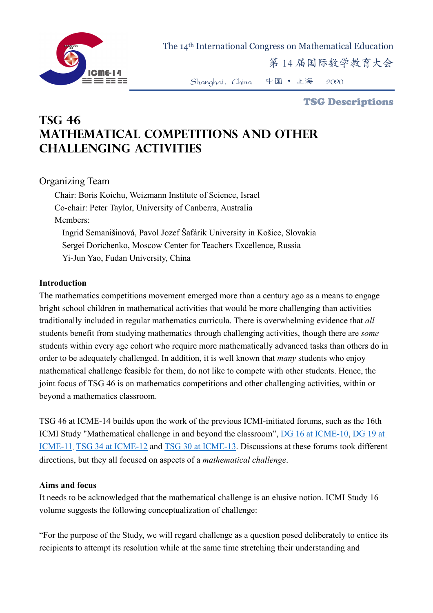

The 14th International Congress on Mathematical Education

第 14 届国际数学教育大会

Shanghai,China 中国 • 上海 2020

### TSG Descriptions

# **TSG 46 Mathematical competitions and other challenging activities**

# Organizing Team

Chair: Boris Koichu, Weizmann Institute of Science, Israel Co-chair: Peter Taylor, University of Canberra, Australia Members: Ingrid Semanišinová, Pavol Jozef Šafárik University in Košice, Slovakia Sergei Dorichenko, Moscow Center for Teachers Excellence, Russia Yi-Jun Yao, Fudan University, China

#### **Introduction**

The mathematics competitions movement emerged more than a century ago as a means to engage bright school children in mathematical activities that would be more challenging than activities traditionally included in regular mathematics curricula. There is overwhelming evidence that *all* students benefit from studying mathematics through challenging activities, though there are *some* students within every age cohort who require more mathematically advanced tasks than others do in order to be adequately challenged. In addition, it is well known that *many* students who enjoy mathematical challenge feasible for them, do not like to compete with other students. Hence, the joint focus of TSG 46 is on mathematics competitions and other challenging activities, within or beyond a mathematics classroom.

TSG 46 at ICME-14 builds upon the work of the previous ICMI-initiated forums, such as the 16th ICMI Study "Mathematical challenge in and beyond the classroom", DG 16 at ICME-10, DG 19 at ICME-11, TSG 34 at ICME-12 and TSG 30 at ICME-13. Discussions at these forums took different directions, but they all focused on aspects of a *mathematical challenge*.

## **Aims and focus**

It needs to be acknowledged that the mathematical challenge is an elusive notion. ICMI Study 16 volume suggests the following conceptualization of challenge:

"For the purpose of the Study, we will regard challenge as a question posed deliberately to entice its recipients to attempt its resolution while at the same time stretching their understanding and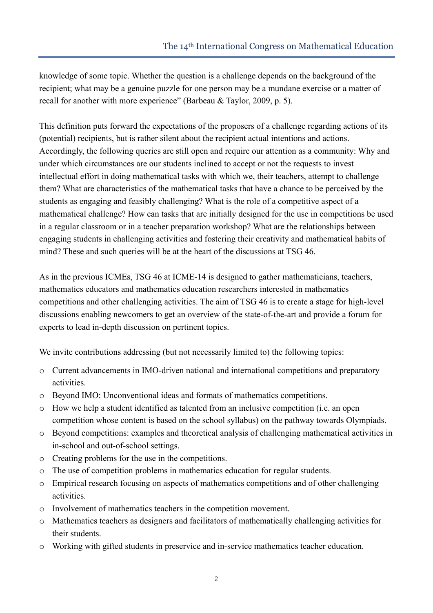knowledge of some topic. Whether the question is a challenge depends on the background of the recipient; what may be a genuine puzzle for one person may be a mundane exercise or a matter of recall for another with more experience" (Barbeau & Taylor, 2009, p. 5).

This definition puts forward the expectations of the proposers of a challenge regarding actions of its (potential) recipients, but is rather silent about the recipient actual intentions and actions. Accordingly, the following queries are still open and require our attention as a community: Why and under which circumstances are our students inclined to accept or not the requests to invest intellectual effort in doing mathematical tasks with which we, their teachers, attempt to challenge them? What are characteristics of the mathematical tasks that have a chance to be perceived by the students as engaging and feasibly challenging? What is the role of a competitive aspect of a mathematical challenge? How can tasks that are initially designed for the use in competitions be used in a regular classroom or in a teacher preparation workshop? What are the relationships between engaging students in challenging activities and fostering their creativity and mathematical habits of mind? These and such queries will be at the heart of the discussions at TSG 46.

As in the previous ICMEs, TSG 46 at ICME-14 is designed to gather mathematicians, teachers, mathematics educators and mathematics education researchers interested in mathematics competitions and other challenging activities. The aim of TSG 46 is to create a stage for high-level discussions enabling newcomers to get an overview of the state-of-the-art and provide a forum for experts to lead in-depth discussion on pertinent topics.

We invite contributions addressing (but not necessarily limited to) the following topics:

- o Current advancements in IMO-driven national and international competitions and preparatory activities.
- o Beyond IMO: Unconventional ideas and formats of mathematics competitions.
- o How we help a student identified as talented from an inclusive competition (i.e. an open competition whose content is based on the school syllabus) on the pathway towards Olympiads.
- o Beyond competitions: examples and theoretical analysis of challenging mathematical activities in in-school and out-of-school settings.
- o Creating problems for the use in the competitions.
- o The use of competition problems in mathematics education for regular students.
- o Empirical research focusing on aspects of mathematics competitions and of other challenging activities.
- o Involvement of mathematics teachers in the competition movement.
- o Mathematics teachers as designers and facilitators of mathematically challenging activities for their students.
- o Working with gifted students in preservice and in-service mathematics teacher education.